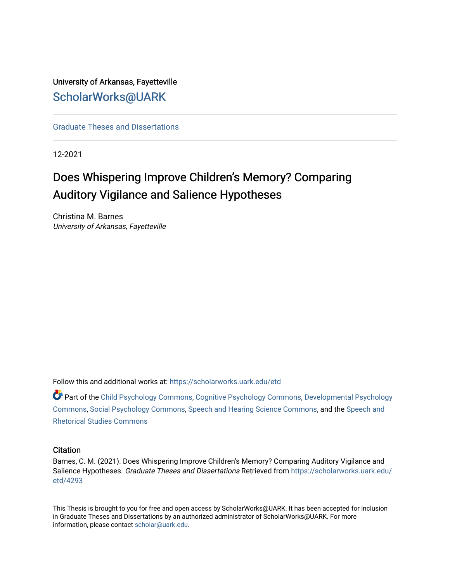# University of Arkansas, Fayetteville [ScholarWorks@UARK](https://scholarworks.uark.edu/)

[Graduate Theses and Dissertations](https://scholarworks.uark.edu/etd) 

12-2021

# Does Whispering Improve Children's Memory? Comparing Auditory Vigilance and Salience Hypotheses

Christina M. Barnes University of Arkansas, Fayetteville

Follow this and additional works at: [https://scholarworks.uark.edu/etd](https://scholarworks.uark.edu/etd?utm_source=scholarworks.uark.edu%2Fetd%2F4293&utm_medium=PDF&utm_campaign=PDFCoverPages)

Part of the [Child Psychology Commons,](http://network.bepress.com/hgg/discipline/1023?utm_source=scholarworks.uark.edu%2Fetd%2F4293&utm_medium=PDF&utm_campaign=PDFCoverPages) [Cognitive Psychology Commons,](http://network.bepress.com/hgg/discipline/408?utm_source=scholarworks.uark.edu%2Fetd%2F4293&utm_medium=PDF&utm_campaign=PDFCoverPages) [Developmental Psychology](http://network.bepress.com/hgg/discipline/410?utm_source=scholarworks.uark.edu%2Fetd%2F4293&utm_medium=PDF&utm_campaign=PDFCoverPages) [Commons](http://network.bepress.com/hgg/discipline/410?utm_source=scholarworks.uark.edu%2Fetd%2F4293&utm_medium=PDF&utm_campaign=PDFCoverPages), [Social Psychology Commons,](http://network.bepress.com/hgg/discipline/414?utm_source=scholarworks.uark.edu%2Fetd%2F4293&utm_medium=PDF&utm_campaign=PDFCoverPages) [Speech and Hearing Science Commons,](http://network.bepress.com/hgg/discipline/1033?utm_source=scholarworks.uark.edu%2Fetd%2F4293&utm_medium=PDF&utm_campaign=PDFCoverPages) and the [Speech and](http://network.bepress.com/hgg/discipline/338?utm_source=scholarworks.uark.edu%2Fetd%2F4293&utm_medium=PDF&utm_campaign=PDFCoverPages)  [Rhetorical Studies Commons](http://network.bepress.com/hgg/discipline/338?utm_source=scholarworks.uark.edu%2Fetd%2F4293&utm_medium=PDF&utm_campaign=PDFCoverPages) 

### **Citation**

Barnes, C. M. (2021). Does Whispering Improve Children's Memory? Comparing Auditory Vigilance and Salience Hypotheses. Graduate Theses and Dissertations Retrieved from [https://scholarworks.uark.edu/](https://scholarworks.uark.edu/etd/4293?utm_source=scholarworks.uark.edu%2Fetd%2F4293&utm_medium=PDF&utm_campaign=PDFCoverPages) [etd/4293](https://scholarworks.uark.edu/etd/4293?utm_source=scholarworks.uark.edu%2Fetd%2F4293&utm_medium=PDF&utm_campaign=PDFCoverPages) 

This Thesis is brought to you for free and open access by ScholarWorks@UARK. It has been accepted for inclusion in Graduate Theses and Dissertations by an authorized administrator of ScholarWorks@UARK. For more information, please contact [scholar@uark.edu.](mailto:scholar@uark.edu)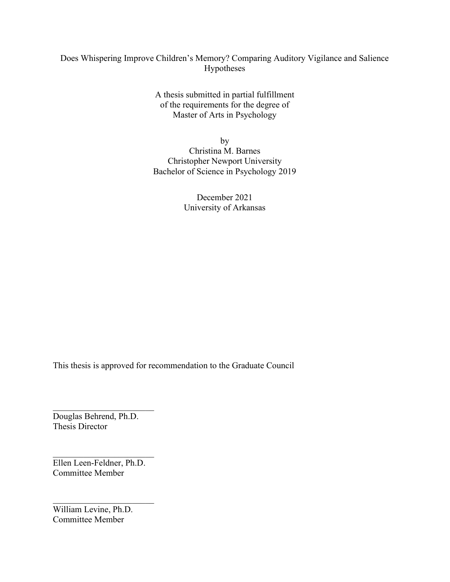# Does Whispering Improve Children's Memory? Comparing Auditory Vigilance and Salience Hypotheses

A thesis submitted in partial fulfillment of the requirements for the degree of Master of Arts in Psychology

by Christina M. Barnes Christopher Newport University Bachelor of Science in Psychology 2019

> December 2021 University of Arkansas

This thesis is approved for recommendation to the Graduate Council

Douglas Behrend, Ph.D. Thesis Director

Ellen Leen-Feldner, Ph.D. Committee Member

William Levine, Ph.D. Committee Member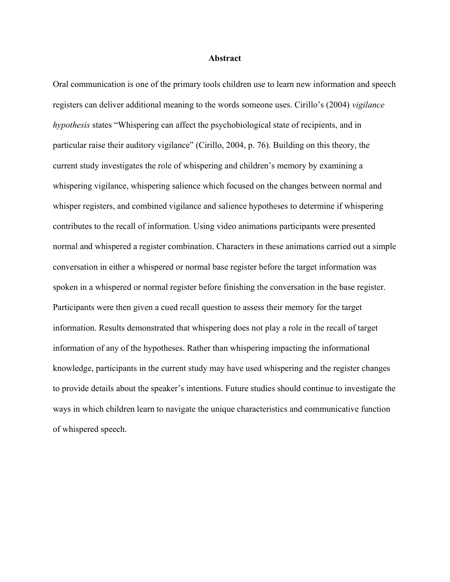#### **Abstract**

Oral communication is one of the primary tools children use to learn new information and speech registers can deliver additional meaning to the words someone uses. Cirillo's (2004) vigilance hypothesis states "Whispering can affect the psychobiological state of recipients, and in particular raise their auditory vigilance" (Cirillo, 2004, p. 76). Building on this theory, the current study investigates the role of whispering and children's memory by examining a whispering vigilance, whispering salience which focused on the changes between normal and whisper registers, and combined vigilance and salience hypotheses to determine if whispering contributes to the recall of information. Using video animations participants were presented normal and whispered a register combination. Characters in these animations carried out a simple conversation in either a whispered or normal base register before the target information was spoken in a whispered or normal register before finishing the conversation in the base register. Participants were then given a cued recall question to assess their memory for the target information. Results demonstrated that whispering does not play a role in the recall of target information of any of the hypotheses. Rather than whispering impacting the informational knowledge, participants in the current study may have used whispering and the register changes to provide details about the speaker's intentions. Future studies should continue to investigate the ways in which children learn to navigate the unique characteristics and communicative function of whispered speech.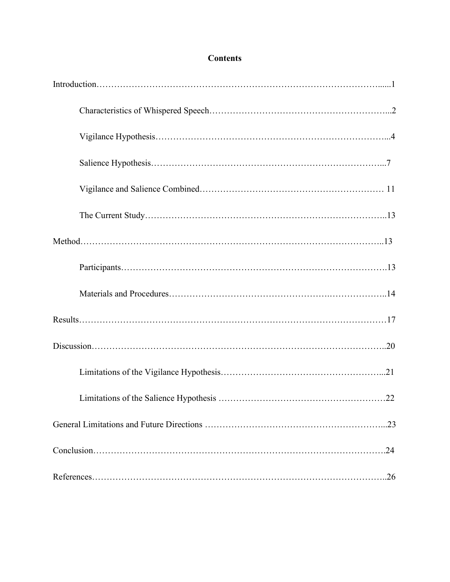# **Contents**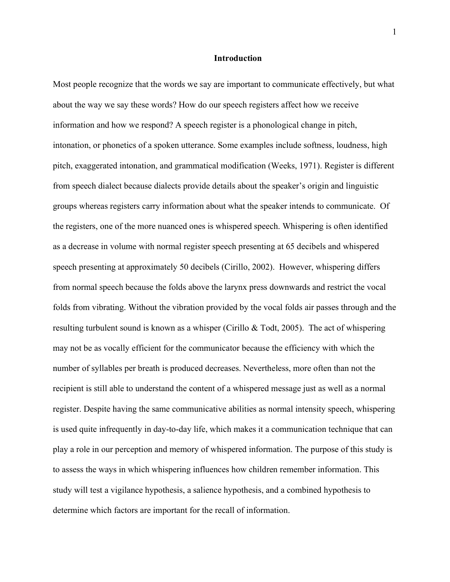#### **Introduction**

Most people recognize that the words we say are important to communicate effectively, but what about the way we say these words? How do our speech registers affect how we receive information and how we respond? A speech register is a phonological change in pitch, intonation, or phonetics of a spoken utterance. Some examples include softness, loudness, high pitch, exaggerated intonation, and grammatical modification (Weeks, 1971). Register is different from speech dialect because dialects provide details about the speaker's origin and linguistic groups whereas registers carry information about what the speaker intends to communicate. Of the registers, one of the more nuanced ones is whispered speech. Whispering is often identified as a decrease in volume with normal register speech presenting at 65 decibels and whispered speech presenting at approximately 50 decibels (Cirillo, 2002). However, whispering differs from normal speech because the folds above the larynx press downwards and restrict the vocal folds from vibrating. Without the vibration provided by the vocal folds air passes through and the resulting turbulent sound is known as a whisper (Cirillo & Todt, 2005). The act of whispering may not be as vocally efficient for the communicator because the efficiency with which the number of syllables per breath is produced decreases. Nevertheless, more often than not the recipient is still able to understand the content of a whispered message just as well as a normal register. Despite having the same communicative abilities as normal intensity speech, whispering is used quite infrequently in day-to-day life, which makes it a communication technique that can play a role in our perception and memory of whispered information. The purpose of this study is to assess the ways in which whispering influences how children remember information. This study will test a vigilance hypothesis, a salience hypothesis, and a combined hypothesis to determine which factors are important for the recall of information.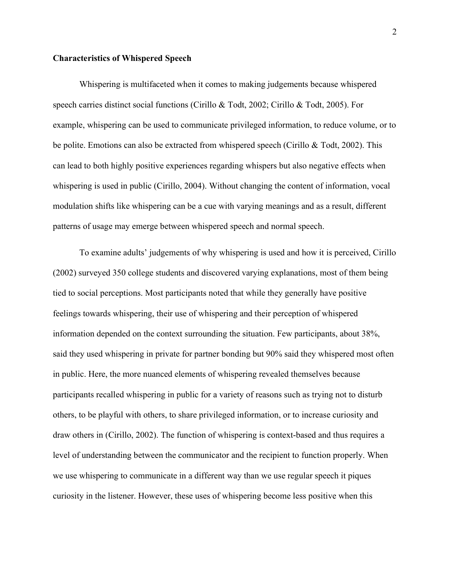# Characteristics of Whispered Speech

Whispering is multifaceted when it comes to making judgements because whispered speech carries distinct social functions (Cirillo & Todt, 2002; Cirillo & Todt, 2005). For example, whispering can be used to communicate privileged information, to reduce volume, or to be polite. Emotions can also be extracted from whispered speech (Cirillo & Todt, 2002). This can lead to both highly positive experiences regarding whispers but also negative effects when whispering is used in public (Cirillo, 2004). Without changing the content of information, vocal modulation shifts like whispering can be a cue with varying meanings and as a result, different patterns of usage may emerge between whispered speech and normal speech.

To examine adults' judgements of why whispering is used and how it is perceived, Cirillo (2002) surveyed 350 college students and discovered varying explanations, most of them being tied to social perceptions. Most participants noted that while they generally have positive feelings towards whispering, their use of whispering and their perception of whispered information depended on the context surrounding the situation. Few participants, about 38%, said they used whispering in private for partner bonding but 90% said they whispered most often in public. Here, the more nuanced elements of whispering revealed themselves because participants recalled whispering in public for a variety of reasons such as trying not to disturb others, to be playful with others, to share privileged information, or to increase curiosity and draw others in (Cirillo, 2002). The function of whispering is context-based and thus requires a level of understanding between the communicator and the recipient to function properly. When we use whispering to communicate in a different way than we use regular speech it piques curiosity in the listener. However, these uses of whispering become less positive when this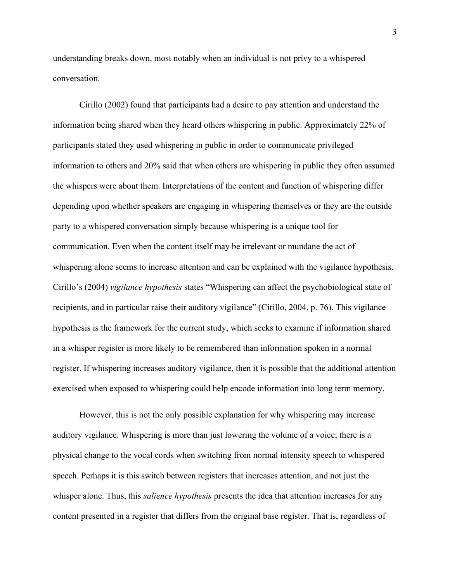understanding breaks down, most notably when an individual is not privy to a whispered conversation.

Cirillo (2002) found that participants had a desire to pay attention and understand the information being shared when they heard others whispering in public. Approximately 22% of participants stated they used whispering in public in order to communicate privileged information to others and 20% said that when others are whispering in public they often assumed the whispers were about them. Interpretations of the content and function of whispering differ depending upon whether speakers are engaging in whispering themselves or they are the outside party to a whispered conversation simply because whispering is a unique tool for communication. Even when the content itself may be irrelevant or mundane the act of whispering alone seems to increase attention and can be explained with the vigilance hypothesis. Cirillo's (2004) vigilance hypothesis states "Whispering can affect the psychobiological state of recipients, and in particular raise their auditory vigilance" (Cirillo, 2004, p. 76). This vigilance hypothesis is the framework for the current study, which seeks to examine if information shared in a whisper register is more likely to be remembered than information spoken in a normal register. If whispering increases auditory vigilance, then it is possible that the additional attention exercised when exposed to whispering could help encode information into long term memory.

However, this is not the only possible explanation for why whispering may increase auditory vigilance. Whispering is more than just lowering the volume of a voice; there is a physical change to the vocal cords when switching from normal intensity speech to whispered speech. Perhaps it is this switch between registers that increases attention, and not just the whisper alone. Thus, this *salience hypothesis* presents the idea that attention increases for any content presented in a register that differs from the original base register. That is, regardless of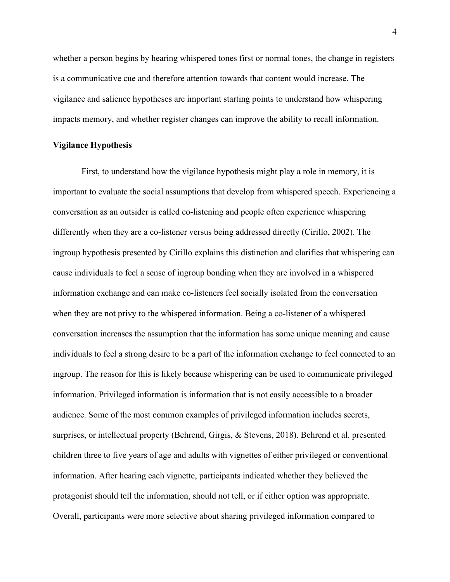whether a person begins by hearing whispered tones first or normal tones, the change in registers is a communicative cue and therefore attention towards that content would increase. The vigilance and salience hypotheses are important starting points to understand how whispering impacts memory, and whether register changes can improve the ability to recall information.

### Vigilance Hypothesis

 First, to understand how the vigilance hypothesis might play a role in memory, it is important to evaluate the social assumptions that develop from whispered speech. Experiencing a conversation as an outsider is called co-listening and people often experience whispering differently when they are a co-listener versus being addressed directly (Cirillo, 2002). The ingroup hypothesis presented by Cirillo explains this distinction and clarifies that whispering can cause individuals to feel a sense of ingroup bonding when they are involved in a whispered information exchange and can make co-listeners feel socially isolated from the conversation when they are not privy to the whispered information. Being a co-listener of a whispered conversation increases the assumption that the information has some unique meaning and cause individuals to feel a strong desire to be a part of the information exchange to feel connected to an ingroup. The reason for this is likely because whispering can be used to communicate privileged information. Privileged information is information that is not easily accessible to a broader audience. Some of the most common examples of privileged information includes secrets, surprises, or intellectual property (Behrend, Girgis, & Stevens, 2018). Behrend et al. presented children three to five years of age and adults with vignettes of either privileged or conventional information. After hearing each vignette, participants indicated whether they believed the protagonist should tell the information, should not tell, or if either option was appropriate. Overall, participants were more selective about sharing privileged information compared to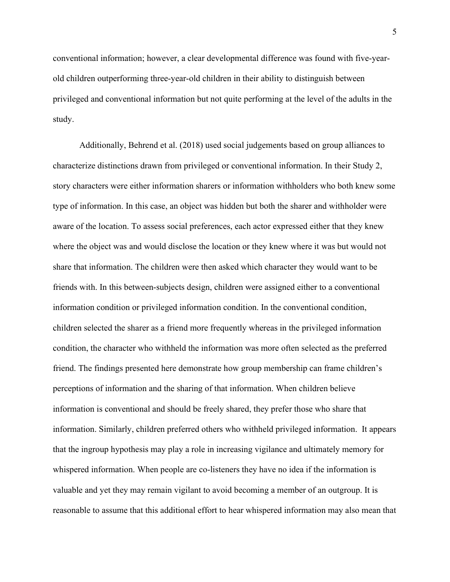conventional information; however, a clear developmental difference was found with five-yearold children outperforming three-year-old children in their ability to distinguish between privileged and conventional information but not quite performing at the level of the adults in the study.

Additionally, Behrend et al. (2018) used social judgements based on group alliances to characterize distinctions drawn from privileged or conventional information. In their Study 2, story characters were either information sharers or information withholders who both knew some type of information. In this case, an object was hidden but both the sharer and withholder were aware of the location. To assess social preferences, each actor expressed either that they knew where the object was and would disclose the location or they knew where it was but would not share that information. The children were then asked which character they would want to be friends with. In this between-subjects design, children were assigned either to a conventional information condition or privileged information condition. In the conventional condition, children selected the sharer as a friend more frequently whereas in the privileged information condition, the character who withheld the information was more often selected as the preferred friend. The findings presented here demonstrate how group membership can frame children's perceptions of information and the sharing of that information. When children believe information is conventional and should be freely shared, they prefer those who share that information. Similarly, children preferred others who withheld privileged information. It appears that the ingroup hypothesis may play a role in increasing vigilance and ultimately memory for whispered information. When people are co-listeners they have no idea if the information is valuable and yet they may remain vigilant to avoid becoming a member of an outgroup. It is reasonable to assume that this additional effort to hear whispered information may also mean that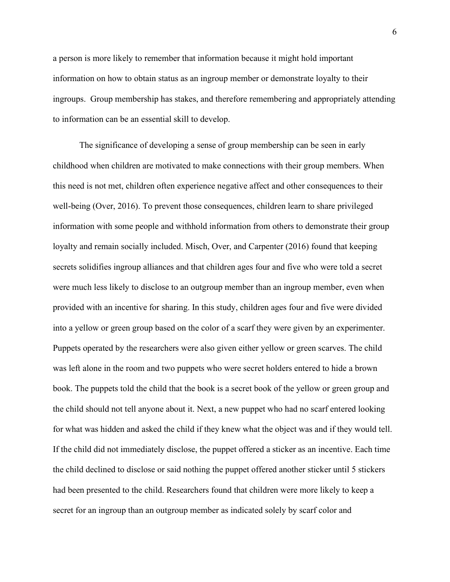a person is more likely to remember that information because it might hold important information on how to obtain status as an ingroup member or demonstrate loyalty to their ingroups. Group membership has stakes, and therefore remembering and appropriately attending to information can be an essential skill to develop.

The significance of developing a sense of group membership can be seen in early childhood when children are motivated to make connections with their group members. When this need is not met, children often experience negative affect and other consequences to their well-being (Over, 2016). To prevent those consequences, children learn to share privileged information with some people and withhold information from others to demonstrate their group loyalty and remain socially included. Misch, Over, and Carpenter (2016) found that keeping secrets solidifies ingroup alliances and that children ages four and five who were told a secret were much less likely to disclose to an outgroup member than an ingroup member, even when provided with an incentive for sharing. In this study, children ages four and five were divided into a yellow or green group based on the color of a scarf they were given by an experimenter. Puppets operated by the researchers were also given either yellow or green scarves. The child was left alone in the room and two puppets who were secret holders entered to hide a brown book. The puppets told the child that the book is a secret book of the yellow or green group and the child should not tell anyone about it. Next, a new puppet who had no scarf entered looking for what was hidden and asked the child if they knew what the object was and if they would tell. If the child did not immediately disclose, the puppet offered a sticker as an incentive. Each time the child declined to disclose or said nothing the puppet offered another sticker until 5 stickers had been presented to the child. Researchers found that children were more likely to keep a secret for an ingroup than an outgroup member as indicated solely by scarf color and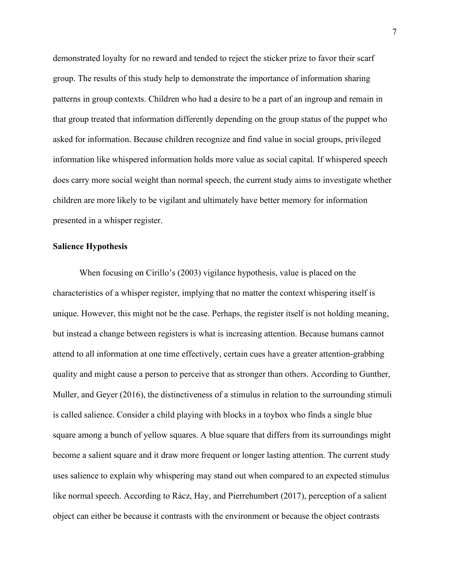demonstrated loyalty for no reward and tended to reject the sticker prize to favor their scarf group. The results of this study help to demonstrate the importance of information sharing patterns in group contexts. Children who had a desire to be a part of an ingroup and remain in that group treated that information differently depending on the group status of the puppet who asked for information. Because children recognize and find value in social groups, privileged information like whispered information holds more value as social capital. If whispered speech does carry more social weight than normal speech, the current study aims to investigate whether children are more likely to be vigilant and ultimately have better memory for information presented in a whisper register.

#### Salience Hypothesis

When focusing on Cirillo's (2003) vigilance hypothesis, value is placed on the characteristics of a whisper register, implying that no matter the context whispering itself is unique. However, this might not be the case. Perhaps, the register itself is not holding meaning, but instead a change between registers is what is increasing attention. Because humans cannot attend to all information at one time effectively, certain cues have a greater attention-grabbing quality and might cause a person to perceive that as stronger than others. According to Gunther, Muller, and Geyer (2016), the distinctiveness of a stimulus in relation to the surrounding stimuli is called salience. Consider a child playing with blocks in a toybox who finds a single blue square among a bunch of yellow squares. A blue square that differs from its surroundings might become a salient square and it draw more frequent or longer lasting attention. The current study uses salience to explain why whispering may stand out when compared to an expected stimulus like normal speech. According to Rácz, Hay, and Pierrehumbert (2017), perception of a salient object can either be because it contrasts with the environment or because the object contrasts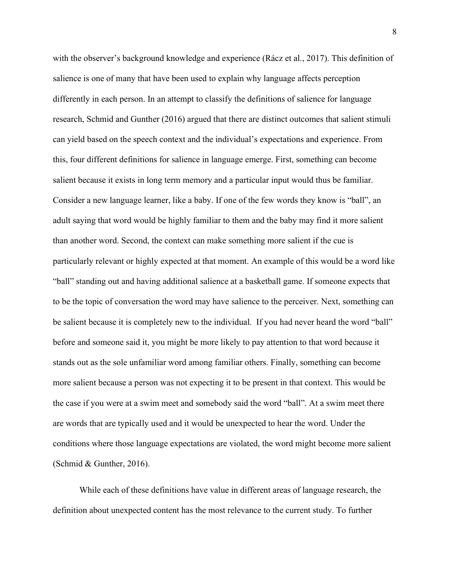with the observer's background knowledge and experience (Rácz et al., 2017). This definition of salience is one of many that have been used to explain why language affects perception differently in each person. In an attempt to classify the definitions of salience for language research, Schmid and Gunther (2016) argued that there are distinct outcomes that salient stimuli can yield based on the speech context and the individual's expectations and experience. From this, four different definitions for salience in language emerge. First, something can become salient because it exists in long term memory and a particular input would thus be familiar. Consider a new language learner, like a baby. If one of the few words they know is "ball", an adult saying that word would be highly familiar to them and the baby may find it more salient than another word. Second, the context can make something more salient if the cue is particularly relevant or highly expected at that moment. An example of this would be a word like "ball" standing out and having additional salience at a basketball game. If someone expects that to be the topic of conversation the word may have salience to the perceiver. Next, something can be salient because it is completely new to the individual. If you had never heard the word "ball" before and someone said it, you might be more likely to pay attention to that word because it stands out as the sole unfamiliar word among familiar others. Finally, something can become more salient because a person was not expecting it to be present in that context. This would be the case if you were at a swim meet and somebody said the word "ball". At a swim meet there are words that are typically used and it would be unexpected to hear the word. Under the conditions where those language expectations are violated, the word might become more salient (Schmid & Gunther, 2016).

While each of these definitions have value in different areas of language research, the definition about unexpected content has the most relevance to the current study. To further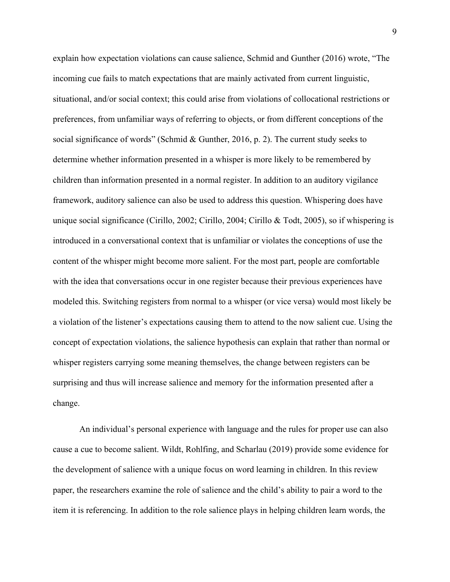explain how expectation violations can cause salience, Schmid and Gunther (2016) wrote, "The incoming cue fails to match expectations that are mainly activated from current linguistic, situational, and/or social context; this could arise from violations of collocational restrictions or preferences, from unfamiliar ways of referring to objects, or from different conceptions of the social significance of words" (Schmid & Gunther, 2016, p. 2). The current study seeks to determine whether information presented in a whisper is more likely to be remembered by children than information presented in a normal register. In addition to an auditory vigilance framework, auditory salience can also be used to address this question. Whispering does have unique social significance (Cirillo, 2002; Cirillo, 2004; Cirillo & Todt, 2005), so if whispering is introduced in a conversational context that is unfamiliar or violates the conceptions of use the content of the whisper might become more salient. For the most part, people are comfortable with the idea that conversations occur in one register because their previous experiences have modeled this. Switching registers from normal to a whisper (or vice versa) would most likely be a violation of the listener's expectations causing them to attend to the now salient cue. Using the concept of expectation violations, the salience hypothesis can explain that rather than normal or whisper registers carrying some meaning themselves, the change between registers can be surprising and thus will increase salience and memory for the information presented after a change.

An individual's personal experience with language and the rules for proper use can also cause a cue to become salient. Wildt, Rohlfing, and Scharlau (2019) provide some evidence for the development of salience with a unique focus on word learning in children. In this review paper, the researchers examine the role of salience and the child's ability to pair a word to the item it is referencing. In addition to the role salience plays in helping children learn words, the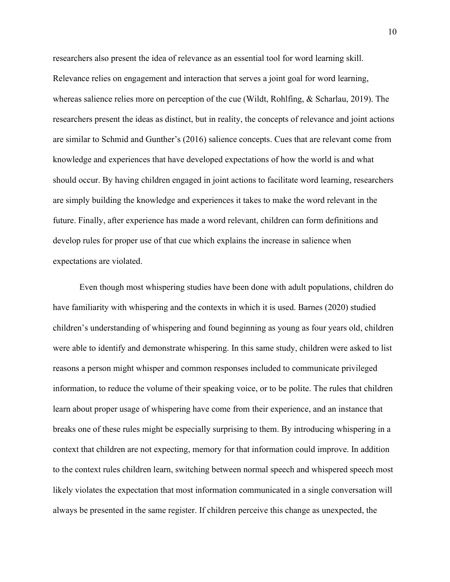researchers also present the idea of relevance as an essential tool for word learning skill. Relevance relies on engagement and interaction that serves a joint goal for word learning, whereas salience relies more on perception of the cue (Wildt, Rohlfing, & Scharlau, 2019). The researchers present the ideas as distinct, but in reality, the concepts of relevance and joint actions are similar to Schmid and Gunther's (2016) salience concepts. Cues that are relevant come from knowledge and experiences that have developed expectations of how the world is and what should occur. By having children engaged in joint actions to facilitate word learning, researchers are simply building the knowledge and experiences it takes to make the word relevant in the future. Finally, after experience has made a word relevant, children can form definitions and develop rules for proper use of that cue which explains the increase in salience when expectations are violated.

Even though most whispering studies have been done with adult populations, children do have familiarity with whispering and the contexts in which it is used. Barnes (2020) studied children's understanding of whispering and found beginning as young as four years old, children were able to identify and demonstrate whispering. In this same study, children were asked to list reasons a person might whisper and common responses included to communicate privileged information, to reduce the volume of their speaking voice, or to be polite. The rules that children learn about proper usage of whispering have come from their experience, and an instance that breaks one of these rules might be especially surprising to them. By introducing whispering in a context that children are not expecting, memory for that information could improve. In addition to the context rules children learn, switching between normal speech and whispered speech most likely violates the expectation that most information communicated in a single conversation will always be presented in the same register. If children perceive this change as unexpected, the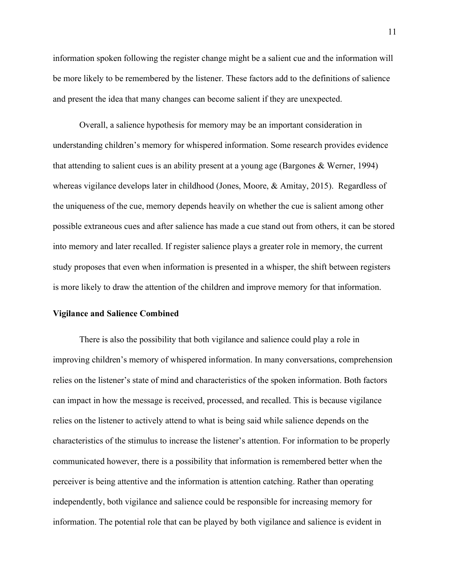information spoken following the register change might be a salient cue and the information will be more likely to be remembered by the listener. These factors add to the definitions of salience and present the idea that many changes can become salient if they are unexpected.

Overall, a salience hypothesis for memory may be an important consideration in understanding children's memory for whispered information. Some research provides evidence that attending to salient cues is an ability present at a young age (Bargones & Werner, 1994) whereas vigilance develops later in childhood (Jones, Moore, & Amitay, 2015). Regardless of the uniqueness of the cue, memory depends heavily on whether the cue is salient among other possible extraneous cues and after salience has made a cue stand out from others, it can be stored into memory and later recalled. If register salience plays a greater role in memory, the current study proposes that even when information is presented in a whisper, the shift between registers is more likely to draw the attention of the children and improve memory for that information.

#### Vigilance and Salience Combined

There is also the possibility that both vigilance and salience could play a role in improving children's memory of whispered information. In many conversations, comprehension relies on the listener's state of mind and characteristics of the spoken information. Both factors can impact in how the message is received, processed, and recalled. This is because vigilance relies on the listener to actively attend to what is being said while salience depends on the characteristics of the stimulus to increase the listener's attention. For information to be properly communicated however, there is a possibility that information is remembered better when the perceiver is being attentive and the information is attention catching. Rather than operating independently, both vigilance and salience could be responsible for increasing memory for information. The potential role that can be played by both vigilance and salience is evident in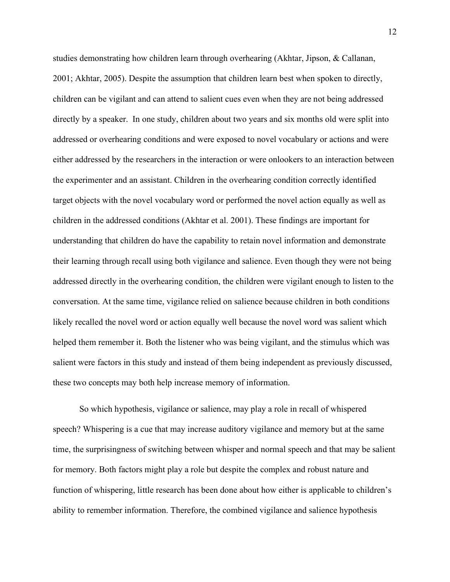studies demonstrating how children learn through overhearing (Akhtar, Jipson, & Callanan, 2001; Akhtar, 2005). Despite the assumption that children learn best when spoken to directly, children can be vigilant and can attend to salient cues even when they are not being addressed directly by a speaker. In one study, children about two years and six months old were split into addressed or overhearing conditions and were exposed to novel vocabulary or actions and were either addressed by the researchers in the interaction or were onlookers to an interaction between the experimenter and an assistant. Children in the overhearing condition correctly identified target objects with the novel vocabulary word or performed the novel action equally as well as children in the addressed conditions (Akhtar et al. 2001). These findings are important for understanding that children do have the capability to retain novel information and demonstrate their learning through recall using both vigilance and salience. Even though they were not being addressed directly in the overhearing condition, the children were vigilant enough to listen to the conversation. At the same time, vigilance relied on salience because children in both conditions likely recalled the novel word or action equally well because the novel word was salient which helped them remember it. Both the listener who was being vigilant, and the stimulus which was salient were factors in this study and instead of them being independent as previously discussed, these two concepts may both help increase memory of information.

So which hypothesis, vigilance or salience, may play a role in recall of whispered speech? Whispering is a cue that may increase auditory vigilance and memory but at the same time, the surprisingness of switching between whisper and normal speech and that may be salient for memory. Both factors might play a role but despite the complex and robust nature and function of whispering, little research has been done about how either is applicable to children's ability to remember information. Therefore, the combined vigilance and salience hypothesis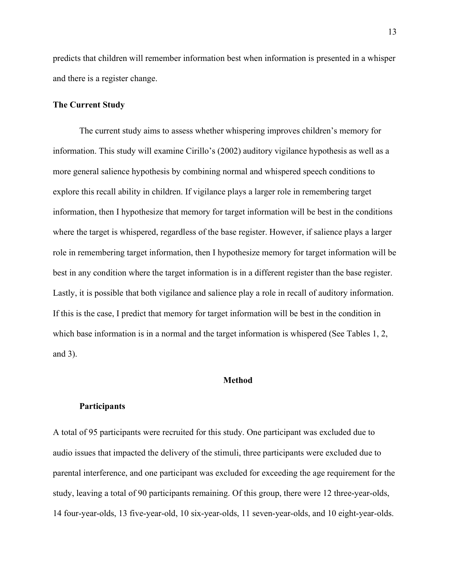predicts that children will remember information best when information is presented in a whisper and there is a register change.

### The Current Study

The current study aims to assess whether whispering improves children's memory for information. This study will examine Cirillo's (2002) auditory vigilance hypothesis as well as a more general salience hypothesis by combining normal and whispered speech conditions to explore this recall ability in children. If vigilance plays a larger role in remembering target information, then I hypothesize that memory for target information will be best in the conditions where the target is whispered, regardless of the base register. However, if salience plays a larger role in remembering target information, then I hypothesize memory for target information will be best in any condition where the target information is in a different register than the base register. Lastly, it is possible that both vigilance and salience play a role in recall of auditory information. If this is the case, I predict that memory for target information will be best in the condition in which base information is in a normal and the target information is whispered (See Tables 1, 2, and 3).

#### Method

#### **Participants**

A total of 95 participants were recruited for this study. One participant was excluded due to audio issues that impacted the delivery of the stimuli, three participants were excluded due to parental interference, and one participant was excluded for exceeding the age requirement for the study, leaving a total of 90 participants remaining. Of this group, there were 12 three-year-olds, 14 four-year-olds, 13 five-year-old, 10 six-year-olds, 11 seven-year-olds, and 10 eight-year-olds.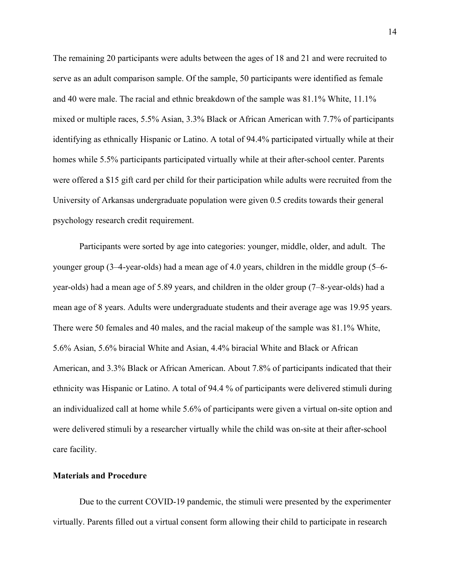The remaining 20 participants were adults between the ages of 18 and 21 and were recruited to serve as an adult comparison sample. Of the sample, 50 participants were identified as female and 40 were male. The racial and ethnic breakdown of the sample was 81.1% White, 11.1% mixed or multiple races, 5.5% Asian, 3.3% Black or African American with 7.7% of participants identifying as ethnically Hispanic or Latino. A total of 94.4% participated virtually while at their homes while 5.5% participants participated virtually while at their after-school center. Parents were offered a \$15 gift card per child for their participation while adults were recruited from the University of Arkansas undergraduate population were given 0.5 credits towards their general psychology research credit requirement.

Participants were sorted by age into categories: younger, middle, older, and adult. The younger group (3–4-year-olds) had a mean age of 4.0 years, children in the middle group (5–6 year-olds) had a mean age of 5.89 years, and children in the older group (7–8-year-olds) had a mean age of 8 years. Adults were undergraduate students and their average age was 19.95 years. There were 50 females and 40 males, and the racial makeup of the sample was 81.1% White, 5.6% Asian, 5.6% biracial White and Asian, 4.4% biracial White and Black or African American, and 3.3% Black or African American. About 7.8% of participants indicated that their ethnicity was Hispanic or Latino. A total of 94.4 % of participants were delivered stimuli during an individualized call at home while 5.6% of participants were given a virtual on-site option and were delivered stimuli by a researcher virtually while the child was on-site at their after-school care facility.

#### Materials and Procedure

Due to the current COVID-19 pandemic, the stimuli were presented by the experimenter virtually. Parents filled out a virtual consent form allowing their child to participate in research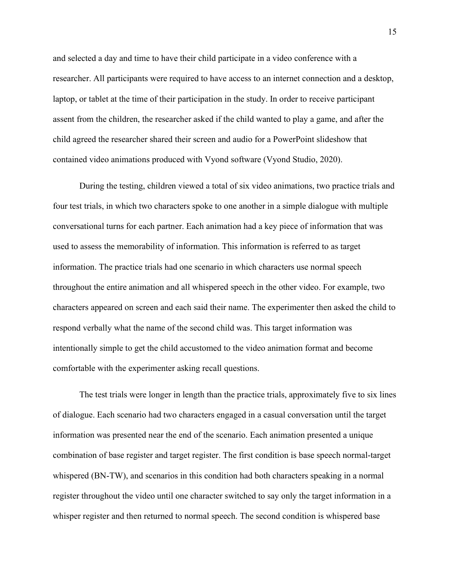and selected a day and time to have their child participate in a video conference with a researcher. All participants were required to have access to an internet connection and a desktop, laptop, or tablet at the time of their participation in the study. In order to receive participant assent from the children, the researcher asked if the child wanted to play a game, and after the child agreed the researcher shared their screen and audio for a PowerPoint slideshow that contained video animations produced with Vyond software (Vyond Studio, 2020).

During the testing, children viewed a total of six video animations, two practice trials and four test trials, in which two characters spoke to one another in a simple dialogue with multiple conversational turns for each partner. Each animation had a key piece of information that was used to assess the memorability of information. This information is referred to as target information. The practice trials had one scenario in which characters use normal speech throughout the entire animation and all whispered speech in the other video. For example, two characters appeared on screen and each said their name. The experimenter then asked the child to respond verbally what the name of the second child was. This target information was intentionally simple to get the child accustomed to the video animation format and become comfortable with the experimenter asking recall questions.

The test trials were longer in length than the practice trials, approximately five to six lines of dialogue. Each scenario had two characters engaged in a casual conversation until the target information was presented near the end of the scenario. Each animation presented a unique combination of base register and target register. The first condition is base speech normal-target whispered (BN-TW), and scenarios in this condition had both characters speaking in a normal register throughout the video until one character switched to say only the target information in a whisper register and then returned to normal speech. The second condition is whispered base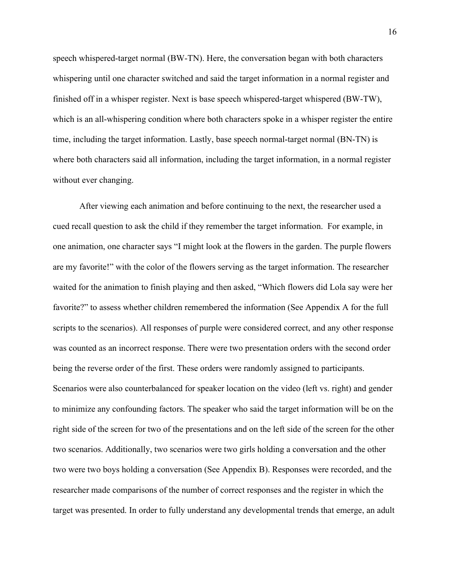speech whispered-target normal (BW-TN). Here, the conversation began with both characters whispering until one character switched and said the target information in a normal register and finished off in a whisper register. Next is base speech whispered-target whispered (BW-TW), which is an all-whispering condition where both characters spoke in a whisper register the entire time, including the target information. Lastly, base speech normal-target normal (BN-TN) is where both characters said all information, including the target information, in a normal register without ever changing.

After viewing each animation and before continuing to the next, the researcher used a cued recall question to ask the child if they remember the target information. For example, in one animation, one character says "I might look at the flowers in the garden. The purple flowers are my favorite!" with the color of the flowers serving as the target information. The researcher waited for the animation to finish playing and then asked, "Which flowers did Lola say were her favorite?" to assess whether children remembered the information (See Appendix A for the full scripts to the scenarios). All responses of purple were considered correct, and any other response was counted as an incorrect response. There were two presentation orders with the second order being the reverse order of the first. These orders were randomly assigned to participants. Scenarios were also counterbalanced for speaker location on the video (left vs. right) and gender to minimize any confounding factors. The speaker who said the target information will be on the right side of the screen for two of the presentations and on the left side of the screen for the other two scenarios. Additionally, two scenarios were two girls holding a conversation and the other two were two boys holding a conversation (See Appendix B). Responses were recorded, and the researcher made comparisons of the number of correct responses and the register in which the target was presented. In order to fully understand any developmental trends that emerge, an adult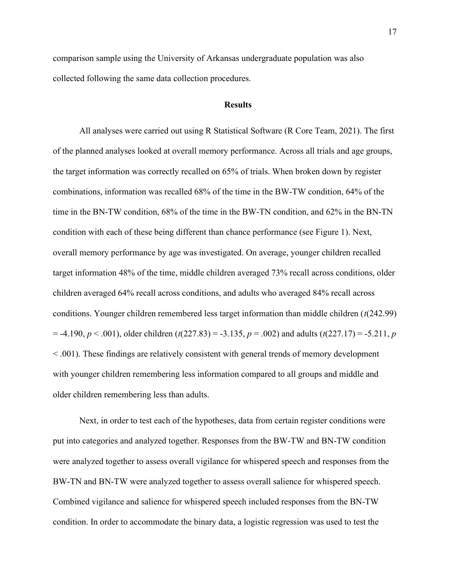comparison sample using the University of Arkansas undergraduate population was also collected following the same data collection procedures.

#### Results

All analyses were carried out using R Statistical Software (R Core Team, 2021). The first of the planned analyses looked at overall memory performance. Across all trials and age groups, the target information was correctly recalled on 65% of trials. When broken down by register combinations, information was recalled 68% of the time in the BW-TW condition, 64% of the time in the BN-TW condition, 68% of the time in the BW-TN condition, and 62% in the BN-TN condition with each of these being different than chance performance (see Figure 1). Next, overall memory performance by age was investigated. On average, younger children recalled target information 48% of the time, middle children averaged 73% recall across conditions, older children averaged 64% recall across conditions, and adults who averaged 84% recall across conditions. Younger children remembered less target information than middle children  $(t(242.99))$  $=$  -4.190,  $p < .001$ ), older children (t(227.83) = -3.135,  $p = .002$ ) and adults (t(227.17) = -5.211, p < .001). These findings are relatively consistent with general trends of memory development with younger children remembering less information compared to all groups and middle and older children remembering less than adults.

Next, in order to test each of the hypotheses, data from certain register conditions were put into categories and analyzed together. Responses from the BW-TW and BN-TW condition were analyzed together to assess overall vigilance for whispered speech and responses from the BW-TN and BN-TW were analyzed together to assess overall salience for whispered speech. Combined vigilance and salience for whispered speech included responses from the BN-TW condition. In order to accommodate the binary data, a logistic regression was used to test the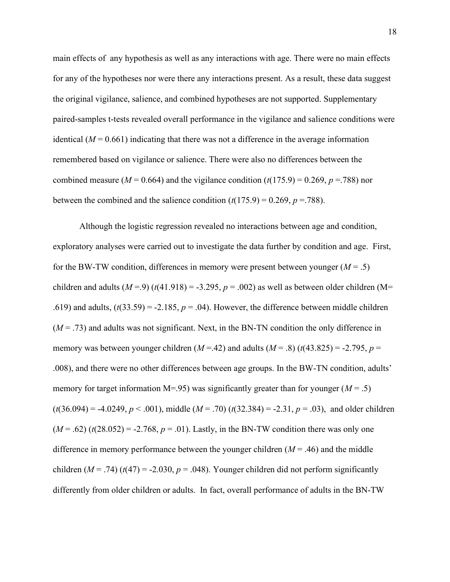main effects of any hypothesis as well as any interactions with age. There were no main effects for any of the hypotheses nor were there any interactions present. As a result, these data suggest the original vigilance, salience, and combined hypotheses are not supported. Supplementary paired-samples t-tests revealed overall performance in the vigilance and salience conditions were identical  $(M = 0.661)$  indicating that there was not a difference in the average information remembered based on vigilance or salience. There were also no differences between the combined measure ( $M = 0.664$ ) and the vigilance condition (t(175.9) = 0.269, p = .788) nor between the combined and the salience condition  $(t(175.9) = 0.269, p = .788)$ .

Although the logistic regression revealed no interactions between age and condition, exploratory analyses were carried out to investigate the data further by condition and age. First, for the BW-TW condition, differences in memory were present between younger ( $M = .5$ ) children and adults  $(M=9)$  (t(41.918) = -3.295, p = .002) as well as between older children (M= .619) and adults,  $(t(33.59) = -2.185, p = .04)$ . However, the difference between middle children  $(M = .73)$  and adults was not significant. Next, in the BN-TN condition the only difference in memory was between younger children ( $M = .42$ ) and adults ( $M = .8$ ) ( $t(43.825) = -2.795$ ,  $p =$ .008), and there were no other differences between age groups. In the BW-TN condition, adults' memory for target information M=.95) was significantly greater than for younger ( $M = .5$ )  $(t(36.094) = -4.0249, p < .001)$ , middle  $(M = .70)$   $(t(32.384) = -2.31, p = .03)$ , and older children  $(M = .62)$  (t(28.052) = -2.768,  $p = .01$ ). Lastly, in the BN-TW condition there was only one difference in memory performance between the younger children  $(M = .46)$  and the middle children ( $M = .74$ ) ( $t(47) = .2.030$ ,  $p = .048$ ). Younger children did not perform significantly differently from older children or adults. In fact, overall performance of adults in the BN-TW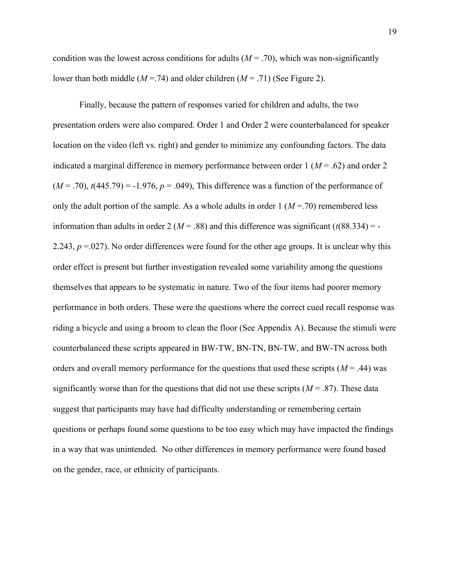condition was the lowest across conditions for adults ( $M = .70$ ), which was non-significantly lower than both middle ( $M = .74$ ) and older children ( $M = .71$ ) (See Figure 2).

Finally, because the pattern of responses varied for children and adults, the two presentation orders were also compared. Order 1 and Order 2 were counterbalanced for speaker location on the video (left vs. right) and gender to minimize any confounding factors. The data indicated a marginal difference in memory performance between order 1 ( $M = .62$ ) and order 2  $(M = .70)$ ,  $t(445.79) = -1.976$ ,  $p = .049$ ), This difference was a function of the performance of only the adult portion of the sample. As a whole adults in order  $1 (M = .70)$  remembered less information than adults in order 2 ( $M = .88$ ) and this difference was significant (t(88.334) = -2.243,  $p = 0.027$ ). No order differences were found for the other age groups. It is unclear why this order effect is present but further investigation revealed some variability among the questions themselves that appears to be systematic in nature. Two of the four items had poorer memory performance in both orders. These were the questions where the correct cued recall response was riding a bicycle and using a broom to clean the floor (See Appendix A). Because the stimuli were counterbalanced these scripts appeared in BW-TW, BN-TN, BN-TW, and BW-TN across both orders and overall memory performance for the questions that used these scripts ( $M = .44$ ) was significantly worse than for the questions that did not use these scripts ( $M = .87$ ). These data suggest that participants may have had difficulty understanding or remembering certain questions or perhaps found some questions to be too easy which may have impacted the findings in a way that was unintended. No other differences in memory performance were found based on the gender, race, or ethnicity of participants.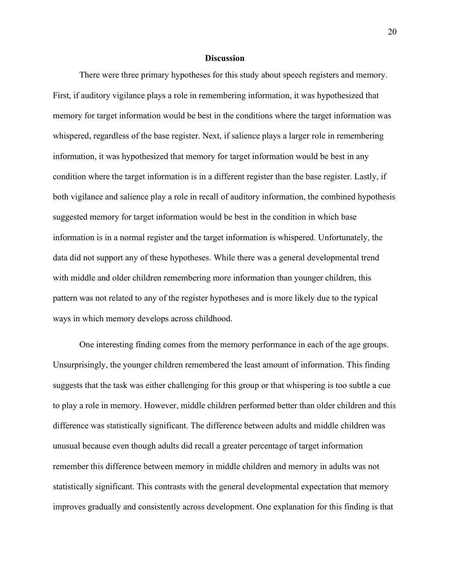#### **Discussion**

There were three primary hypotheses for this study about speech registers and memory. First, if auditory vigilance plays a role in remembering information, it was hypothesized that memory for target information would be best in the conditions where the target information was whispered, regardless of the base register. Next, if salience plays a larger role in remembering information, it was hypothesized that memory for target information would be best in any condition where the target information is in a different register than the base register. Lastly, if both vigilance and salience play a role in recall of auditory information, the combined hypothesis suggested memory for target information would be best in the condition in which base information is in a normal register and the target information is whispered. Unfortunately, the data did not support any of these hypotheses. While there was a general developmental trend with middle and older children remembering more information than younger children, this pattern was not related to any of the register hypotheses and is more likely due to the typical ways in which memory develops across childhood.

One interesting finding comes from the memory performance in each of the age groups. Unsurprisingly, the younger children remembered the least amount of information. This finding suggests that the task was either challenging for this group or that whispering is too subtle a cue to play a role in memory. However, middle children performed better than older children and this difference was statistically significant. The difference between adults and middle children was unusual because even though adults did recall a greater percentage of target information remember this difference between memory in middle children and memory in adults was not statistically significant. This contrasts with the general developmental expectation that memory improves gradually and consistently across development. One explanation for this finding is that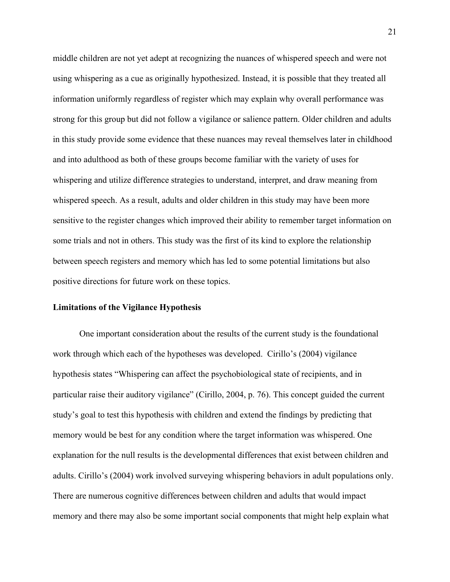middle children are not yet adept at recognizing the nuances of whispered speech and were not using whispering as a cue as originally hypothesized. Instead, it is possible that they treated all information uniformly regardless of register which may explain why overall performance was strong for this group but did not follow a vigilance or salience pattern. Older children and adults in this study provide some evidence that these nuances may reveal themselves later in childhood and into adulthood as both of these groups become familiar with the variety of uses for whispering and utilize difference strategies to understand, interpret, and draw meaning from whispered speech. As a result, adults and older children in this study may have been more sensitive to the register changes which improved their ability to remember target information on some trials and not in others. This study was the first of its kind to explore the relationship between speech registers and memory which has led to some potential limitations but also positive directions for future work on these topics.

#### Limitations of the Vigilance Hypothesis

One important consideration about the results of the current study is the foundational work through which each of the hypotheses was developed. Cirillo's (2004) vigilance hypothesis states "Whispering can affect the psychobiological state of recipients, and in particular raise their auditory vigilance" (Cirillo, 2004, p. 76). This concept guided the current study's goal to test this hypothesis with children and extend the findings by predicting that memory would be best for any condition where the target information was whispered. One explanation for the null results is the developmental differences that exist between children and adults. Cirillo's (2004) work involved surveying whispering behaviors in adult populations only. There are numerous cognitive differences between children and adults that would impact memory and there may also be some important social components that might help explain what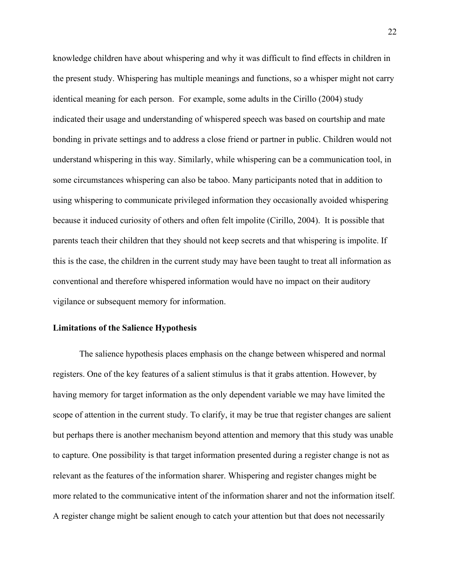knowledge children have about whispering and why it was difficult to find effects in children in the present study. Whispering has multiple meanings and functions, so a whisper might not carry identical meaning for each person. For example, some adults in the Cirillo (2004) study indicated their usage and understanding of whispered speech was based on courtship and mate bonding in private settings and to address a close friend or partner in public. Children would not understand whispering in this way. Similarly, while whispering can be a communication tool, in some circumstances whispering can also be taboo. Many participants noted that in addition to using whispering to communicate privileged information they occasionally avoided whispering because it induced curiosity of others and often felt impolite (Cirillo, 2004). It is possible that parents teach their children that they should not keep secrets and that whispering is impolite. If this is the case, the children in the current study may have been taught to treat all information as conventional and therefore whispered information would have no impact on their auditory vigilance or subsequent memory for information.

### Limitations of the Salience Hypothesis

The salience hypothesis places emphasis on the change between whispered and normal registers. One of the key features of a salient stimulus is that it grabs attention. However, by having memory for target information as the only dependent variable we may have limited the scope of attention in the current study. To clarify, it may be true that register changes are salient but perhaps there is another mechanism beyond attention and memory that this study was unable to capture. One possibility is that target information presented during a register change is not as relevant as the features of the information sharer. Whispering and register changes might be more related to the communicative intent of the information sharer and not the information itself. A register change might be salient enough to catch your attention but that does not necessarily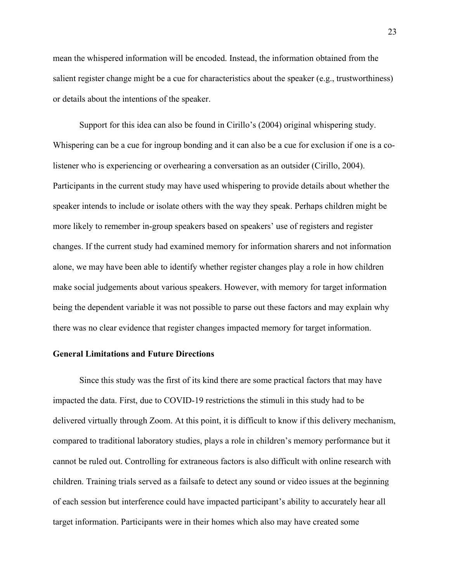mean the whispered information will be encoded. Instead, the information obtained from the salient register change might be a cue for characteristics about the speaker (e.g., trustworthiness) or details about the intentions of the speaker.

Support for this idea can also be found in Cirillo's (2004) original whispering study. Whispering can be a cue for ingroup bonding and it can also be a cue for exclusion if one is a colistener who is experiencing or overhearing a conversation as an outsider (Cirillo, 2004). Participants in the current study may have used whispering to provide details about whether the speaker intends to include or isolate others with the way they speak. Perhaps children might be more likely to remember in-group speakers based on speakers' use of registers and register changes. If the current study had examined memory for information sharers and not information alone, we may have been able to identify whether register changes play a role in how children make social judgements about various speakers. However, with memory for target information being the dependent variable it was not possible to parse out these factors and may explain why there was no clear evidence that register changes impacted memory for target information.

#### General Limitations and Future Directions

Since this study was the first of its kind there are some practical factors that may have impacted the data. First, due to COVID-19 restrictions the stimuli in this study had to be delivered virtually through Zoom. At this point, it is difficult to know if this delivery mechanism, compared to traditional laboratory studies, plays a role in children's memory performance but it cannot be ruled out. Controlling for extraneous factors is also difficult with online research with children. Training trials served as a failsafe to detect any sound or video issues at the beginning of each session but interference could have impacted participant's ability to accurately hear all target information. Participants were in their homes which also may have created some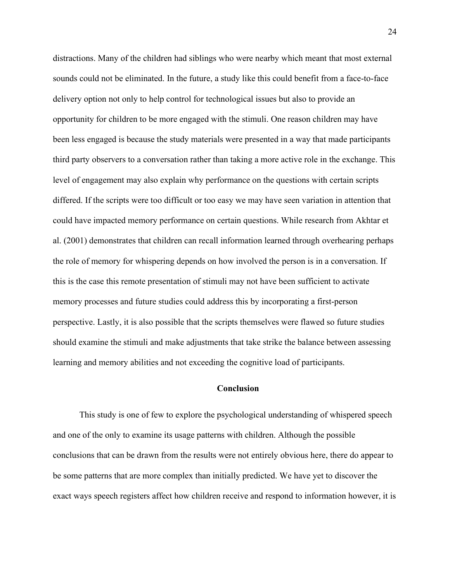distractions. Many of the children had siblings who were nearby which meant that most external sounds could not be eliminated. In the future, a study like this could benefit from a face-to-face delivery option not only to help control for technological issues but also to provide an opportunity for children to be more engaged with the stimuli. One reason children may have been less engaged is because the study materials were presented in a way that made participants third party observers to a conversation rather than taking a more active role in the exchange. This level of engagement may also explain why performance on the questions with certain scripts differed. If the scripts were too difficult or too easy we may have seen variation in attention that could have impacted memory performance on certain questions. While research from Akhtar et al. (2001) demonstrates that children can recall information learned through overhearing perhaps the role of memory for whispering depends on how involved the person is in a conversation. If this is the case this remote presentation of stimuli may not have been sufficient to activate memory processes and future studies could address this by incorporating a first-person perspective. Lastly, it is also possible that the scripts themselves were flawed so future studies should examine the stimuli and make adjustments that take strike the balance between assessing learning and memory abilities and not exceeding the cognitive load of participants.

# Conclusion

This study is one of few to explore the psychological understanding of whispered speech and one of the only to examine its usage patterns with children. Although the possible conclusions that can be drawn from the results were not entirely obvious here, there do appear to be some patterns that are more complex than initially predicted. We have yet to discover the exact ways speech registers affect how children receive and respond to information however, it is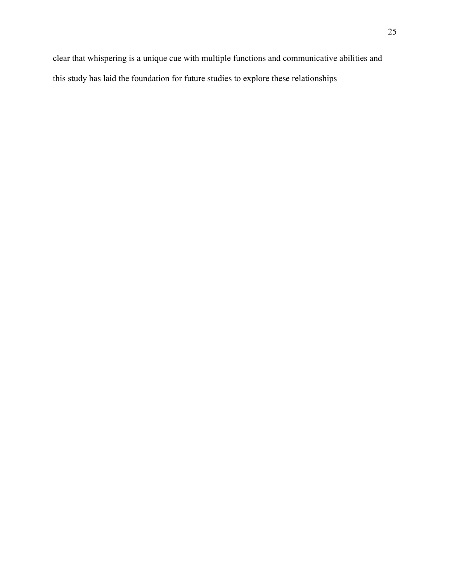clear that whispering is a unique cue with multiple functions and communicative abilities and this study has laid the foundation for future studies to explore these relationships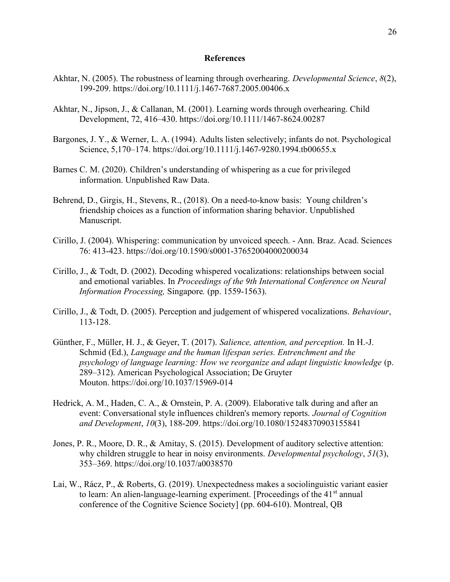#### References

- Akhtar, N. (2005). The robustness of learning through overhearing. *Developmental Science*, 8(2), 199-209. https://doi.org/10.1111/j.1467-7687.2005.00406.x
- Akhtar, N., Jipson, J., & Callanan, M. (2001). Learning words through overhearing. Child Development, 72, 416–430. https://doi.org/10.1111/1467-8624.00287
- Bargones, J. Y., & Werner, L. A. (1994). Adults listen selectively; infants do not. Psychological Science, 5,170–174. https://doi.org/10.1111/j.1467-9280.1994.tb00655.x
- Barnes C. M. (2020). Children's understanding of whispering as a cue for privileged information. Unpublished Raw Data.
- Behrend, D., Girgis, H., Stevens, R., (2018). On a need-to-know basis: Young children's friendship choices as a function of information sharing behavior. Unpublished Manuscript.
- Cirillo, J. (2004). Whispering: communication by unvoiced speech. Ann. Braz. Acad. Sciences 76: 413-423. https://doi.org/10.1590/s0001-37652004000200034
- Cirillo, J., & Todt, D. (2002). Decoding whispered vocalizations: relationships between social and emotional variables. In Proceedings of the 9th International Conference on Neural Information Processing, Singapore. (pp. 1559-1563).
- Cirillo, J., & Todt, D. (2005). Perception and judgement of whispered vocalizations. Behaviour, 113-128.
- Günther, F., Müller, H. J., & Geyer, T. (2017). Salience, attention, and perception. In H.-J. Schmid (Ed.), Language and the human lifespan series. Entrenchment and the psychology of language learning: How we reorganize and adapt linguistic knowledge (p. 289–312). American Psychological Association; De Gruyter Mouton. https://doi.org/10.1037/15969-014
- Hedrick, A. M., Haden, C. A., & Ornstein, P. A. (2009). Elaborative talk during and after an event: Conversational style influences children's memory reports. Journal of Cognition and Development, 10(3), 188-209. https://doi.org/10.1080/15248370903155841
- Jones, P. R., Moore, D. R., & Amitay, S. (2015). Development of auditory selective attention: why children struggle to hear in noisy environments. Developmental psychology, 51(3), 353–369. https://doi.org/10.1037/a0038570
- Lai, W., Rácz, P., & Roberts, G. (2019). Unexpectedness makes a sociolinguistic variant easier to learn: An alien-language-learning experiment. [Proceedings of the  $41<sup>st</sup>$  annual conference of the Cognitive Science Society] (pp. 604-610). Montreal, QB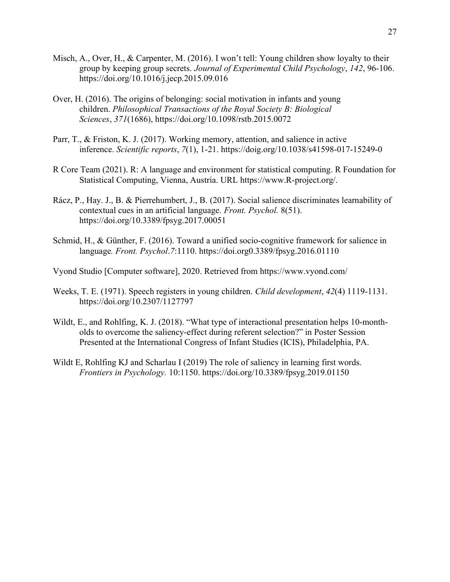- Misch, A., Over, H., & Carpenter, M. (2016). I won't tell: Young children show loyalty to their group by keeping group secrets. Journal of Experimental Child Psychology, 142, 96-106. https://doi.org/10.1016/j.jecp.2015.09.016
- Over, H. (2016). The origins of belonging: social motivation in infants and young children. Philosophical Transactions of the Royal Society B: Biological Sciences, 371(1686), https://doi.org/10.1098/rstb.2015.0072
- Parr, T., & Friston, K. J. (2017). Working memory, attention, and salience in active inference. Scientific reports, 7(1), 1-21. https://doig.org/10.1038/s41598-017-15249-0
- R Core Team (2021). R: A language and environment for statistical computing. R Foundation for Statistical Computing, Vienna, Austria. URL https://www.R-project.org/.
- Rácz, P., Hay. J., B. & Pierrehumbert, J., B. (2017). Social salience discriminates learnability of contextual cues in an artificial language. Front. Psychol. 8(51). https://doi.org/10.3389/fpsyg.2017.00051
- Schmid, H., & Günther, F. (2016). Toward a unified socio-cognitive framework for salience in language. Front. Psychol.7:1110. https://doi.org0.3389/fpsyg.2016.01110

Vyond Studio [Computer software], 2020. Retrieved from https://www.vyond.com/

- Weeks, T. E. (1971). Speech registers in young children. Child development, 42(4) 1119-1131. https://doi.org/10.2307/1127797
- Wildt, E., and Rohlfing, K. J. (2018). "What type of interactional presentation helps 10-montholds to overcome the saliency-effect during referent selection?" in Poster Session Presented at the International Congress of Infant Studies (ICIS), Philadelphia, PA.
- Wildt E, Rohlfing KJ and Scharlau I (2019) The role of saliency in learning first words. Frontiers in Psychology. 10:1150. https://doi.org/10.3389/fpsyg.2019.01150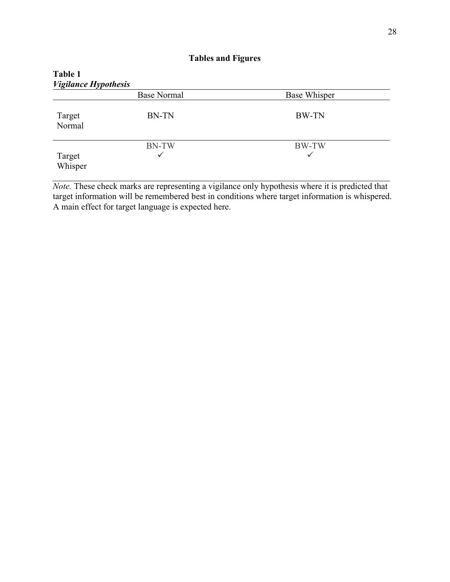# Tables and Figures

Table 1

| <b>Vigilance Hypothesis</b> |                    |                              |
|-----------------------------|--------------------|------------------------------|
|                             | <b>Base Normal</b> | <b>Base Whisper</b>          |
| Target<br>Normal            | <b>BN-TN</b>       | BW-TN                        |
| Target<br>Whisper           | <b>BN-TW</b><br>✓  | <b>BW-TW</b><br>$\checkmark$ |

Note. These check marks are representing a vigilance only hypothesis where it is predicted that target information will be remembered best in conditions where target information is whispered. A main effect for target language is expected here.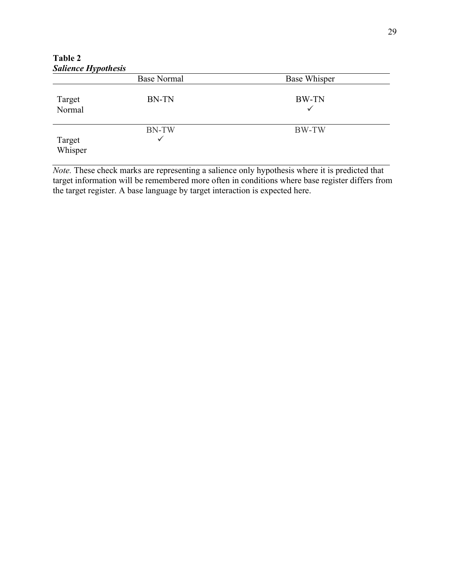Table 2 Salience Hypothesis

|                   | <b>Base Normal</b> | Base Whisper      |
|-------------------|--------------------|-------------------|
| Target<br>Normal  | <b>BN-TN</b>       | <b>BW-TN</b><br>v |
| Target<br>Whisper | <b>BN-TW</b>       | <b>BW-TW</b>      |

Note. These check marks are representing a salience only hypothesis where it is predicted that target information will be remembered more often in conditions where base register differs from the target register. A base language by target interaction is expected here.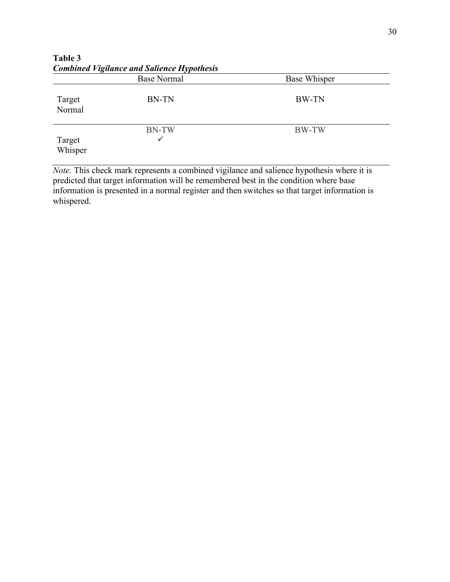Table 3 Combined Vigilance and Salience Hypothesis

|                   | <b>Base Normal</b>           | <b>Base Whisper</b> |
|-------------------|------------------------------|---------------------|
| Target<br>Normal  | <b>BN-TN</b>                 | BW-TN               |
| Target<br>Whisper | <b>BN-TW</b><br>$\checkmark$ | BW-TW               |

Note. This check mark represents a combined vigilance and salience hypothesis where it is predicted that target information will be remembered best in the condition where base information is presented in a normal register and then switches so that target information is whispered.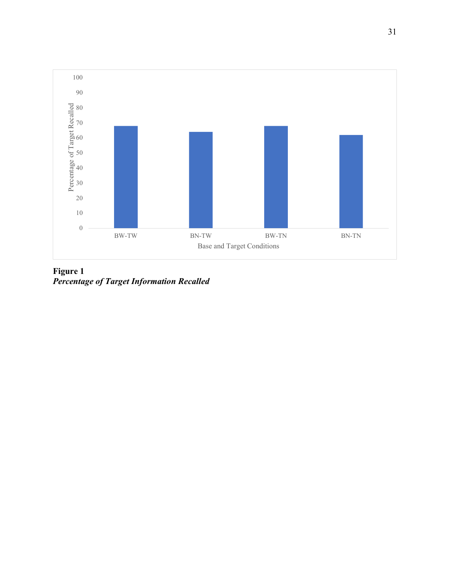

Figure 1 Percentage of Target Information Recalled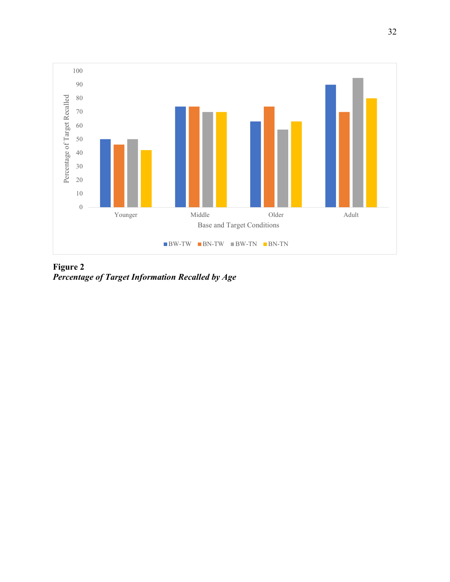

Figure 2 Percentage of Target Information Recalled by Age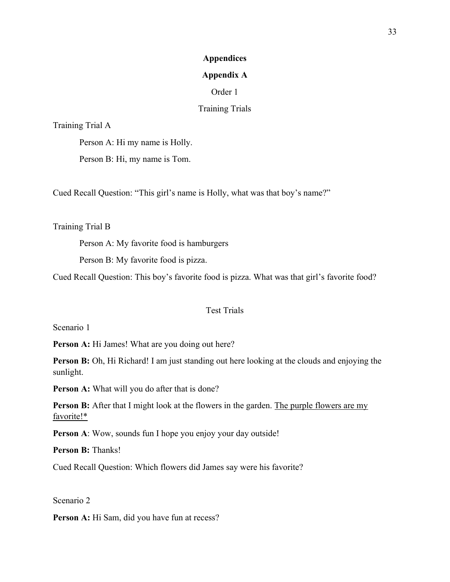### Appendices

#### Appendix A

#### Order 1

# Training Trials

Training Trial A

Person A: Hi my name is Holly.

Person B: Hi, my name is Tom.

Cued Recall Question: "This girl's name is Holly, what was that boy's name?"

Training Trial B

Person A: My favorite food is hamburgers

Person B: My favorite food is pizza.

Cued Recall Question: This boy's favorite food is pizza. What was that girl's favorite food?

### Test Trials

Scenario 1

Person A: Hi James! What are you doing out here?

Person B: Oh, Hi Richard! I am just standing out here looking at the clouds and enjoying the sunlight.

Person A: What will you do after that is done?

Person B: After that I might look at the flowers in the garden. The purple flowers are my favorite!\*

Person A: Wow, sounds fun I hope you enjoy your day outside!

Person B: Thanks!

Cued Recall Question: Which flowers did James say were his favorite?

Scenario 2

Person A: Hi Sam, did you have fun at recess?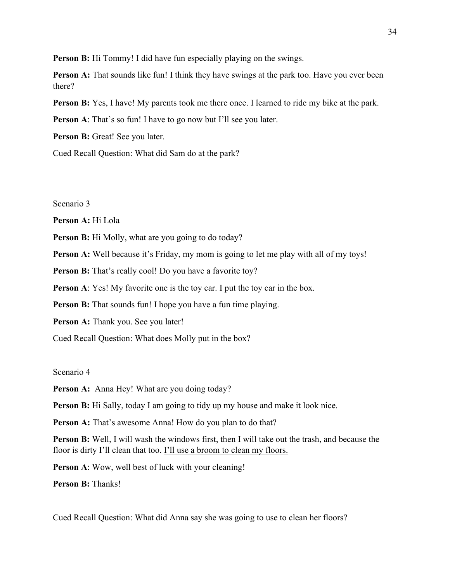Person B: Hi Tommy! I did have fun especially playing on the swings.

Person A: That sounds like fun! I think they have swings at the park too. Have you ever been there?

**Person B:** Yes, I have! My parents took me there once. <u>I learned to ride my bike at the park.</u>

Person A: That's so fun! I have to go now but I'll see you later.

Person B: Great! See you later.

Cued Recall Question: What did Sam do at the park?

Scenario 3

Person A: Hi Lola

Person B: Hi Molly, what are you going to do today?

Person A: Well because it's Friday, my mom is going to let me play with all of my toys!

Person B: That's really cool! Do you have a favorite toy?

Person A: Yes! My favorite one is the toy car. I put the toy car in the box.

Person B: That sounds fun! I hope you have a fun time playing.

Person A: Thank you. See you later!

Cued Recall Question: What does Molly put in the box?

Scenario 4

Person A: Anna Hey! What are you doing today?

Person B: Hi Sally, today I am going to tidy up my house and make it look nice.

Person A: That's awesome Anna! How do you plan to do that?

Person B: Well, I will wash the windows first, then I will take out the trash, and because the floor is dirty I'll clean that too. I'll use a broom to clean my floors.

Person A: Wow, well best of luck with your cleaning!

Person B: Thanks!

Cued Recall Question: What did Anna say she was going to use to clean her floors?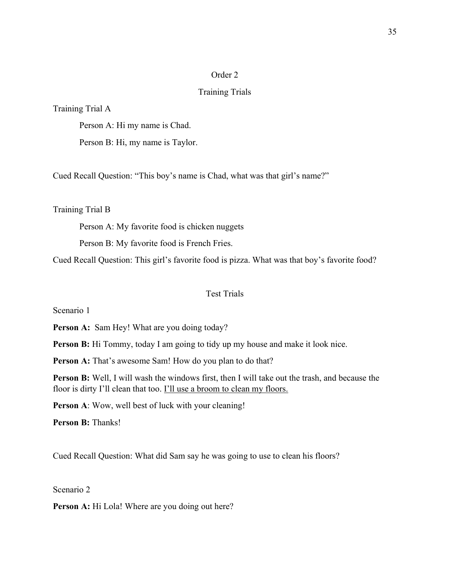## Order 2

### Training Trials

Training Trial A

Person A: Hi my name is Chad.

Person B: Hi, my name is Taylor.

Cued Recall Question: "This boy's name is Chad, what was that girl's name?"

Training Trial B

Person A: My favorite food is chicken nuggets

Person B: My favorite food is French Fries.

Cued Recall Question: This girl's favorite food is pizza. What was that boy's favorite food?

#### Test Trials

Scenario 1

Person A: Sam Hey! What are you doing today?

Person B: Hi Tommy, today I am going to tidy up my house and make it look nice.

Person A: That's awesome Sam! How do you plan to do that?

Person B: Well, I will wash the windows first, then I will take out the trash, and because the floor is dirty I'll clean that too. I'll use a broom to clean my floors.

Person A: Wow, well best of luck with your cleaning!

Person B: Thanks!

Cued Recall Question: What did Sam say he was going to use to clean his floors?

Scenario 2

Person A: Hi Lola! Where are you doing out here?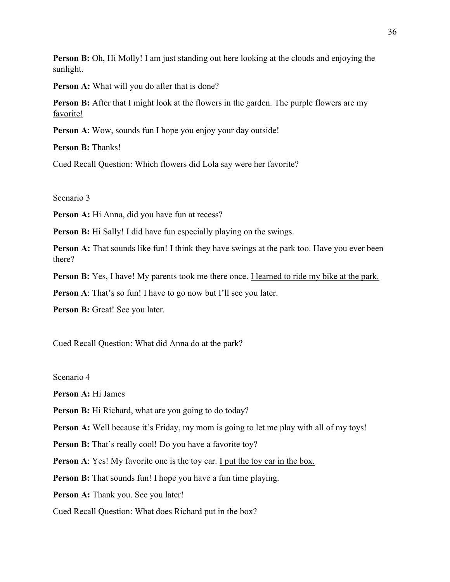Person B: Oh, Hi Molly! I am just standing out here looking at the clouds and enjoying the sunlight.

Person A: What will you do after that is done?

Person B: After that I might look at the flowers in the garden. The purple flowers are my favorite!

Person A: Wow, sounds fun I hope you enjoy your day outside!

Person B: Thanks!

Cued Recall Question: Which flowers did Lola say were her favorite?

Scenario 3

Person A: Hi Anna, did you have fun at recess?

Person B: Hi Sally! I did have fun especially playing on the swings.

Person A: That sounds like fun! I think they have swings at the park too. Have you ever been there?

Person B: Yes, I have! My parents took me there once. I learned to ride my bike at the park.

Person A: That's so fun! I have to go now but I'll see you later.

Person B: Great! See you later.

Cued Recall Question: What did Anna do at the park?

Scenario 4

Person A: Hi James

Person B: Hi Richard, what are you going to do today?

Person A: Well because it's Friday, my mom is going to let me play with all of my toys!

Person B: That's really cool! Do you have a favorite toy?

Person A: Yes! My favorite one is the toy car. I put the toy car in the box.

Person B: That sounds fun! I hope you have a fun time playing.

Person A: Thank you. See you later!

Cued Recall Question: What does Richard put in the box?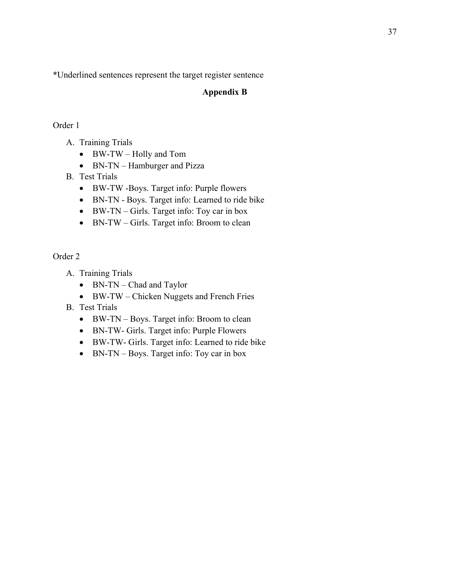\*Underlined sentences represent the target register sentence

# Appendix B

# Order 1

- A. Training Trials
	- BW-TW Holly and Tom
	- BN-TN Hamburger and Pizza
- B. Test Trials
	- BW-TW -Boys. Target info: Purple flowers
	- BN-TN Boys. Target info: Learned to ride bike
	- BW-TN Girls. Target info: Toy car in box
	- BN-TW Girls. Target info: Broom to clean

# Order 2

- A. Training Trials
	- BN-TN Chad and Taylor
	- BW-TW Chicken Nuggets and French Fries
- B. Test Trials
	- BW-TN Boys. Target info: Broom to clean
	- BN-TW- Girls. Target info: Purple Flowers
	- BW-TW- Girls. Target info: Learned to ride bike
	- $\bullet$  BN-TN Boys. Target info: Toy car in box